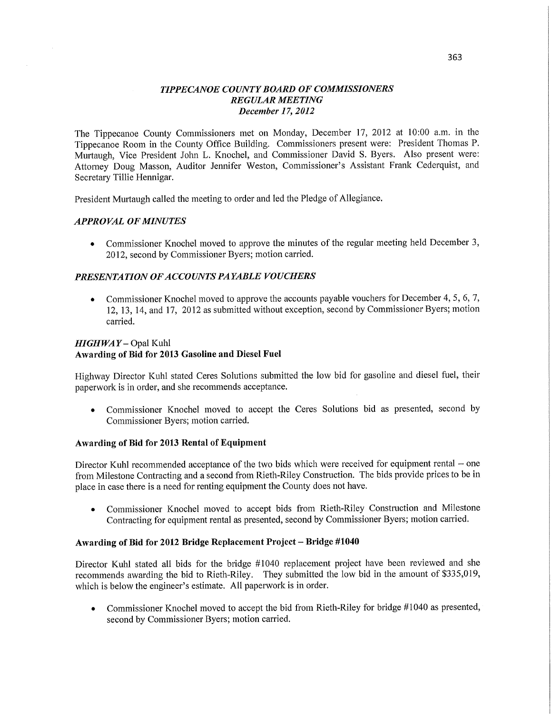## *TIPPECANOE COUNTY BOARD* OF *COMMISSIONERS REGULAR MEETING December* 17, *2012*

The Tippecanoe County Commissioners met on Monday, December 17, 2012 at 10:00 am. in the Tippecanoe Room in the County Office Building. Commissioners present were: President Thomas P. Murtaugh, **Vice** President John L. Knochel, and Commissioner David S. Byers. Also present **were:**  Attorney Doug Masson, Auditor Jennifer Weston, Commissioner's Assistant **Frank** Cederquist, and Secretary Tillie Hennigar.

President Murtaugh called the meeting to order and led the Pledge of Allegiance.

## *APPROVAL* OF *MINUTES*

**<sup>0</sup>**Commissioner Knochel moved to approve the minutes of the regular meeting held **December** 3, 2012, second by Commissioner Byers; motion carried.

### **PRESENTATION OF ACCOUNTS PAYABLE VOUCHERS**

**<sup>0</sup>**Commissioner Knochel moved to approve the accounts payable **vouchers** for December 4, 5, 6, 7, 12, 13, 14, and 17, 2012 as submitted without exception, second by Commissioner Byers; motion carried.

### HI *GHWA Y* — Opal Kuhl

### **Awarding** of Bid for **2013 Gasoline** and Diesel Fuel

Highway Director Kuhl stated Ceres Solutions submitted the low bid for gasoline and diesel fuel, their paperwork is in order, and she recommends **acceptance.** 

**<sup>0</sup>**Commissioner Knochel moved to accept the Ceres Solutions bid as presented, **second** by Commissioner Byers; motion **carried.** 

#### **Awarding** of Bid for **2013 Rental** of **Equipment**

**Director** Kuhl **recommended** acceptance of the two bids which were received for equipment **rental —** one from Milestone Contracting and a second from Rieth-Riley Construction. The bids provide prices to be in <sup>p</sup>lace in case there is **a** need for renting equipment the County does not have.

**0** Commissioner Knochel moved to accept bids from Rieth—Riley Construction and Milestone Contracting for equipment rental as presented, second by Commissioner Byers; motion carried.

#### **Awarding** of Bid for **2012 Bridge Replacement Project** — **Bridge #1040**

Director Kuhl stated all bids for the bridge #1040 replacement project have been reviewed and she recommends awarding the bid to Rieth-Riley. They submitted the low bid in the amount of \$335,019, which is below the engineer's estimate. All paperwork is in order.

• Commissioner Knochel moved to accept the bid from Rieth-Riley for bridge #1040 as presented, second by Commissioner Byers; motion carried.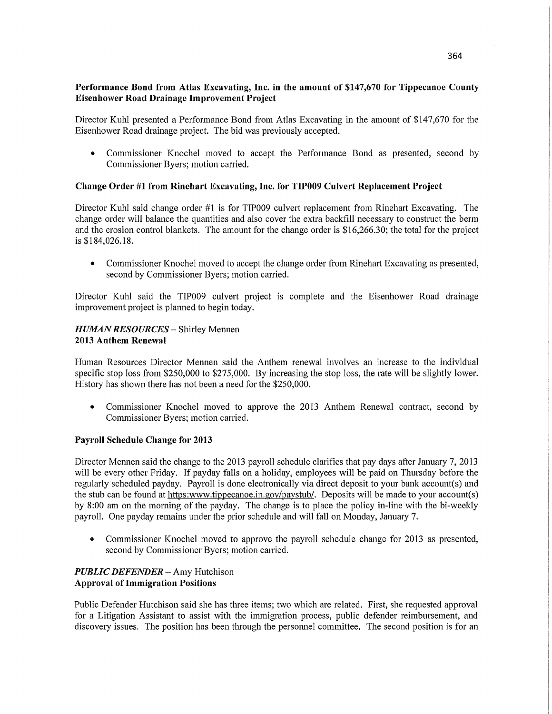## **Performance** Bond **from Atlas Excavating, Inc.** in the amount of **\$147,670** for **Tippecanoe County Eisenhower Road Drainage** Improvement **Project**

Director Kuhl presented a Performance Bond from Atlas Excavating in the amount of \$147,670 for the Eisenhower Road drainage project. The bid was previously accepted.

**0** Commissioner Knochel moved to accept the Performance Bond as presented, second by Commissioner Byers; motion carried.

## **Change Order** #1 **from Rinehart Excavating, Inc.** for **TIP009 Culvert Replacement Project**

Director Kuhl said change order #1 is for TIP009 culvert replacement from **Rinehart** Excavating. The change order will balance the quantities and also cover the extra backfill necessary to construct the berm and the erosion control blankets. The amount for the change order is \$16,266.30; the total for the project is \$184,026.18.

**0** Commissioner Knochel moved to accept the change order from Rinehart Excavating as presented, second by Commissioner Byers; motion carried.

Director Kuhl said the TIP009 culvert project is complete and the Eisenhower Road drainage improvement project is planned to begin today.

### *HUMAN RESOURCES —* Shirley Mennen **2013 Anthem** Renewal

Human Resources Director Mennen said the Anthem renewal involves an increase to the individual specific stop loss from \$250,000 to \$275,000. By increasing the stop loss, the rate will be slightly lower. History has shown there has not been a need for the \$250,000.

**0** Commissioner Knochel moved to approve the 2013 Anthem Renewal contract, second by Commissioner Byers; motion carried.

### **Payroll** Schedule **Change** for **2013**

Director Mennen said the change to the 2013 payroll schedule clarifies that pay days after January 7, 2013 will be every other Friday. If payday falls on a holiday, employees will be paid on Thursday before the regularly scheduled payday. Payroll is done electronically Via direct deposit to your bank account(s) and the stub can be found at https:www.tippecanoe.in.gov/paystub/. Deposits will be made to your account(s) by 8:00 am on the morning of the payday. The change is to place the policy **in-line** with the bi-weekly payroll. One payday remains under the prior schedule and will fall on Monday, January 7.

**0** Commissioner Knochel moved to approve the payroll schedule change for 2013 as presented, second by Commissioner Byers; motion carried.

## *PUBLIC DEFENDER* – Amy Hutchison **Approval** of **Immigration** Positions

Public Defender Hutchison said she has three items; two which are related. First, she requested approval for a Litigation Assistant to assist with the immigration process, public defender reimbursement, and discovery issues. The position has been through the personnel committee. The second position is for an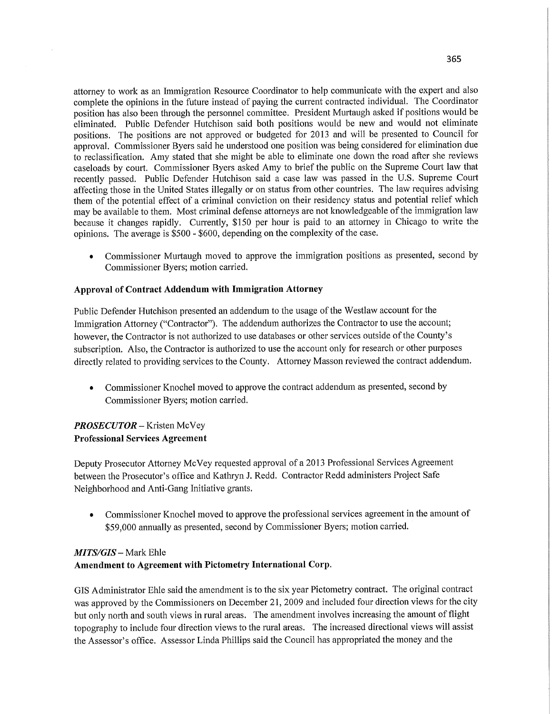attorney to work as an Immigration Resource Coordinator to help communicate with the expert and also complete the opinions in the future instead of paying the current contracted individual. The Coordinator position has also been through the personnel **committee.** President Murtaugh asked if positions would be eliminated. Public Defender Hutchison said both positions would be new and would not eliminate positions. The positions are not approved or budgeted for 2013 and will be presented to Council for approval. Commissioner Byers said he understood one position was being considered for elimination due to reclassification. Amy stated that she might be able to eliminate one down the road after she reviews caseloads by court. Commissioner Byers asked Amy to brief the public on the Supreme **Court** law that recently passed. Public Defender Hutchison said a case law was passed in the US. Supreme Court affecting those in the United States illegally or on status from other countries. The law requires advising them of the potential effect of a criminal conviction on their residency status and potential relief which may be available to **them.** Most criminal defense attorneys are not knowledgeable of the immigration law because it changes rapidly. Currently, \$150 per hour is paid to an attorney in Chicago to write the opinions. The average is \$500 *-* \$600, depending on the complexity of the case.

**<sup>0</sup>**Commissioner Murtaugh moved to approve the immigration positions as presented, second by **Commissioner** Byers; **motion** carried.

## **Approval** of **Contract Addendum** with **Immigration Attorney**

Public Defender Hutchison presented an addendum to the usage of the Westlaw account for the Immigration Attorney ("Contractor"). The addendum authorizes the **Contractor** to use the account; however, the Contractor is not authorized to use databases or other services outside of the County's subscription. Also, the Contractor is authorized to use the account only for research or other purposes **directly** related to providing services to the County. Attorney Masson reviewed the contract addendum.

*0* Commissioner Knochel moved to approve the contract addendum as presented, second by Commissioner Byers; motion carried.

# *PROSECUTOR* — Kristen McVey **Professional Services Agreement**

Deputy Prosecutor Attorney McVey requested approval of a 2013 Professional Services Agreement between the Prosecutor's office and Kathryn J. Redd. **Contractor** Redd administers **Project** Safe Neighborhood and Anti-Gang Initiative grants.

**<sup>0</sup>**Commissioner Knochel moved to approve the professional services agreement in the amount of \$59,000 annually as presented, second by Commissioner Byers; motion **carried.** 

# MI *TS/GIS* **—** Mark Ehle **Amendment** to **Agreement with Pictometry International Corp.**

GIS Administrator Ehle said the amendment is to the six year Pictometry contract. The original contract was approved by the Commissioners on December 21, 2009 and included four direction views for the city but only north and south views in rural areas. The amendment involves increasing the amount of flight topography to include four direction views to the rural areas. The increased directional views will assist the Assessor's office. **Assessor Linda** Phillips said the Council has appropriated the money and the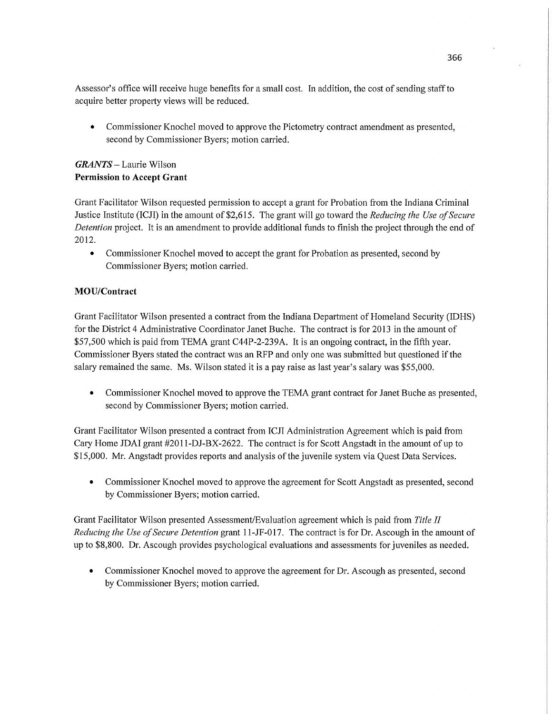Assessor's office will receive huge benefits for a small cost. In addition, the cost of sending staff to acquire better property views will be reduced.

**0** Commissioner Knochel moved to approve the Pictometry contract amendment as presented, second by Commissioner Byers; motion carried.

## *GRANTS* **—** Laurie Wilson **Permission** to **Accept Grant**

Grant Facilitator Wilson requested permission to accept <sup>a</sup>grant for Probation from the Indiana Criminal Justice Institute (ICJI) in the amount of \$2,615. The grant will go toward the *Reducing the Use of Secure Detention* project. It is an amendment to provide additional funds to finish the project through the end of **2012.** 

• Commissioner Knochel moved to accept the grant for Probation as presented, second by Commissioner Byers; motion carried.

# **MOU/Contract**

Grant Facilitator Wilson presented **a** contract from the Indiana Depamment of Homeland Security (IDHS) for the District 4 Administrative Coordinator Janet Buche. The contract is for 2013 in the amount of \$57,500 which is paid from TEMA grant C44P-2-239A. It is an ongoing contract, in the **fifth** year. Commissioner Byers stated the contract was an RFP and only one was submitted but questioned if the salary remained the same. Ms. Wilson stated it is <sup>a</sup>pay raise as last year's salary was \$55,000.

**0** Commissioner Knochel moved to approve the TEMA grant contract for Janet Buche as presented, second by Commissioner Byers; motion carried.

Grant Facilitator Wilson presented a contract from ICJ I Administration Agreement which is paid from Cary Home JDAI grant #2011-DJ-BX-2622. The contract is for Scott Angstadt in the amount of up to \$15,000. Mr. Angstadt provides reports and analysis of the juvenile system via Quest Data Services.

**0** Commissioner Knochel moved to approve the agreement for Scott Angstadt as presented, second by Commissioner Byers; motion carried.

Grant Facilitator Wilson presented Assessment/Evaluation agreement which is paid from *Title* II *Reducing* the Use of *Secure Detention* grant 11-JF-017. The contract is for Dr. Ascough in the amount of up to \$8,800. Dr. Ascough provides psychological evaluations and assessments for juveniles as needed.

**0** Commissioner Knochel moved to approve the agreement for Dr. Ascough as presented, second by Commissioner Byers; motion carried.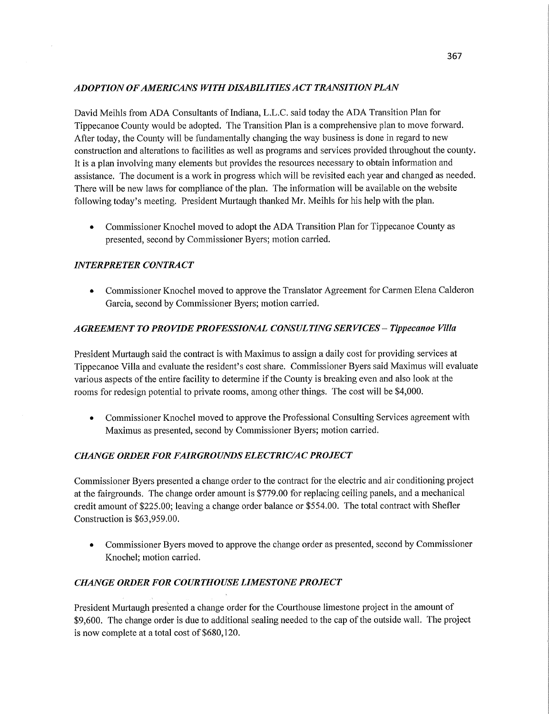## *ADOPTION* OF *AMERICANS WITH DISABILITIES A* CT *TRANSITION PLAN*

David Meihls from ADA Consultants of Indiana, **L.L.C.** said today the ADA Transition Plan for Tippecanoe County would be adopted. The Transition Plan is **<sup>a</sup>**comprehensive plan to move forward. **After** today, the County will be fundamentally changing the way business is done in regard to new construction and alterations to facilities as well as programs and services provided throughout the county. It is a plan involving many elements but provides the resources necessary to obtain **information** and assistance. The document is a work in progress which will be revisited each year and changed as needed. There will be new laws for compliance of the **plan.** The information will be available on the website following today's meeting. President Murtaugh thanked Mr. Meihls for his **help** with the **plan.** 

**0** Commissioner Knochel **moved** to adopt the ADA **Transition** Plan for Tippecanoe County as presented, second by **Commissioner** Byers; motion carried.

## $INTERPRETER$  *CONTRACT*

**0 Commissioner** Knochel moved to approve the Translator Agreement for Carmen Elena Calderon Garcia, second by **Commissioner** Byers; motion carried.

## *A GREEMEN T* TO PRO *VIDE PROFESSIONAL CONS* UL *TING* SER *VICES* **—** *Tippecanoe Villa*

President Murtaugh said the contract is with Maximus to assign a daily cost for providing services at Tippecanoe Villa and evaluate the resident's cost share. Commissioner Byers said Maximus will evaluate various aspects of the entire facility to determine if the County is breaking even and also look at the rooms for redesign potential to private rooms, among **other** things. The cost will be \$4,000.

*0* **Commissioner** Knochel moved to approve the Professional Consulting Services **agreement** with Maximus as presented, second by Commissioner Byers; motion carried.

## *CHANGE ORDER* FOR *FAIR GROUNDS ELECTRIC/AC PROJECT*

**Commissioner** Byers presented a change order to the contract for the electric and air **conditioning** project at the fairgrounds. The change order amount is \$779.00 for replacing ceiling panels, and a mechanical credit amount of \$225.00; leaving a change order balance or \$554.00. The total contract with **Shefler**  Construction is \$63,959.00.

**0 Commissioner** Byers moved to approve the change order as presented, **second** by Commissioner Knochel; motion **carried.** 

# *CHANGE ORDER* FOR *COURTHOUSE LIMESTONE PROJECT*

President Murtaugh presented a change order for the Courthouse limestone project in the amount of \$9,600. The change order is due to additional sealing needed to the cap of the outside wall. The project is now complete at a total cost of \$680,120.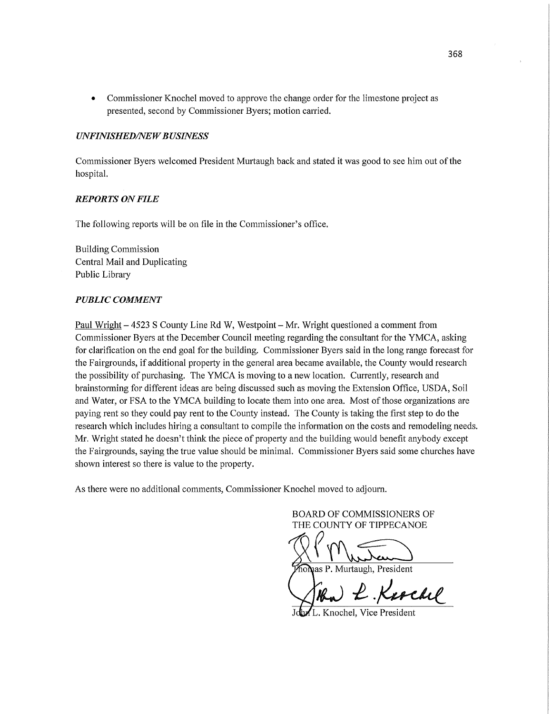• Commissioner Knochel moved to approve the change order for the limestone project as presented, second by Commissioner Byers; motion carried.

#### *UNFINISHED/NEW BUSINESS*

Commissioner Byers welcomed President Murtaugh back and stated it was good to see him out of the hospital.

### *REPORTS* ON *FILE*

The following reports will be on file in the Commissioner's office.

Building Commission Central Mail and Duplicating Public Library

#### *PUBLIC COMMENT*

Paul Wright **—** 4523 **S** County Line Rd W, Westpoint **—** Mr. Wright questioned a comment from Commissioner Byers at the December Council meeting regarding the consultant for the YMCA, asking for clarification on the end goal for the building. Commissioner Byers said in the long range forecast for the Fairgrounds, if additional property in the general area became available, the County would research the possibility of purchasing. The YMCA is moving to a new location. Currently, research and brainstorming for different ideas are being discussed such as moving the Extension Office, USDA, Soil and Water, or FSA to the YMCA building to locate them into one area. Most of those organizations are paying rent so they could pay rent to the County instead. The County is taking the first step to do the research which includes hiring a consultant to compile the information on the costs and remodeling needs. Mr. Wright stated he doesn't think the piece of property and the building would benefit anybody excep<sup>t</sup> the Fairgrounds, saying the true value should be minimal. Commissioner Byers said some churches have shown interest so there is value to the property.

As there were no additional comments, Commissioner Knochel moved to adjourn.

BOARD OF COMMISSIONERS OF THE COUNTY OF TIPPECANOE  $\mathbb{R}$  Mustan

and P. Murtaugh, President

W£.W

L. Knochel, Vice President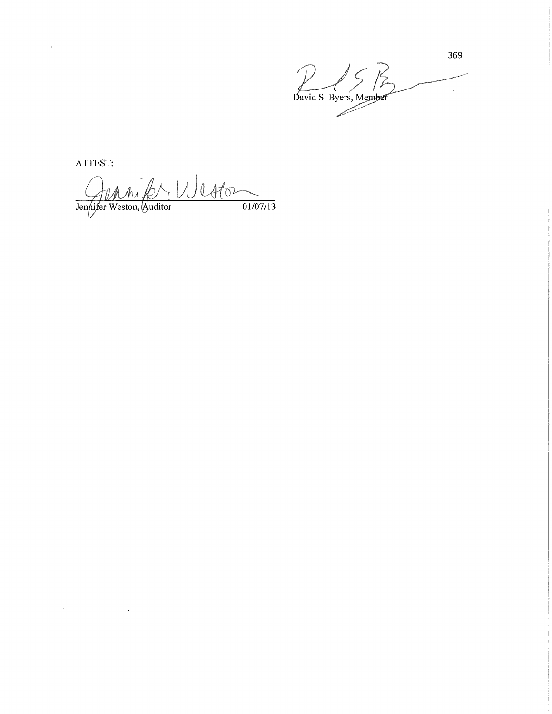369  $\subset$ David S. Byers, Member

ATTEST:

Jennifer Weston  $\frac{1}{01/07/13}$ 

 $\sim 10^7$